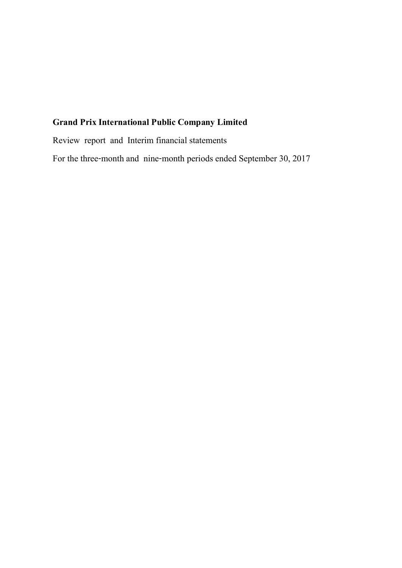Review report and Interim financial statements

For the three-month and nine-month periods ended September 30, 2017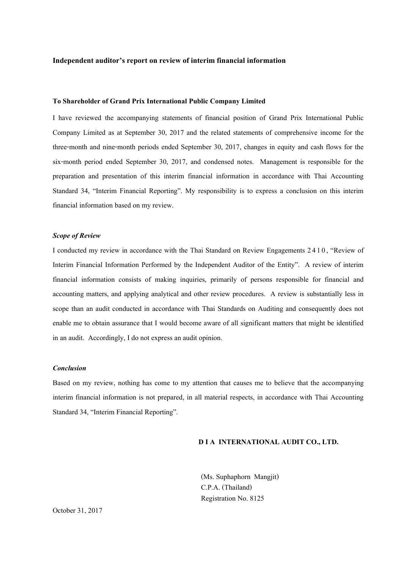#### **Independent auditor's report on review of interim financial information**

#### **To Shareholder of Grand Prix International Public Company Limited**

I have reviewed the accompanying statements of financial position of Grand Prix International Public Company Limited as at September 30, 2017 and the related statements of comprehensive income for the three-month and nine-month periods ended September 30, 2017, changes in equity and cash flows for the six-month period ended September 30, 2017, and condensed notes. Management is responsible for the preparation and presentation of this interim financial information in accordance with Thai Accounting Standard 34, "Interim Financial Reporting". My responsibility is to express a conclusion on this interim financial information based on my review.

#### *Scope of Review*

I conducted my review in accordance with the Thai Standard on Review Engagements 2 4 1 0, "Review of Interim Financial Information Performed by the Independent Auditor of the Entity". A review of interim financial information consists of making inquiries, primarily of persons responsible for financial and accounting matters, and applying analytical and other review procedures. A review is substantially less in scope than an audit conducted in accordance with Thai Standards on Auditing and consequently does not enable me to obtain assurance that I would become aware of all significant matters that might be identified in an audit. Accordingly, I do not express an audit opinion.

# *Conclusion*

Based on my review, nothing has come to my attention that causes me to believe that the accompanying interim financial information is not prepared, in all material respects, in accordance with Thai Accounting Standard 34, "Interim Financial Reporting".

#### **D I A INTERNATIONAL AUDIT CO., LTD.**

(Ms. Suphaphorn Mangjit) C.P.A. (Thailand) Registration No. 8125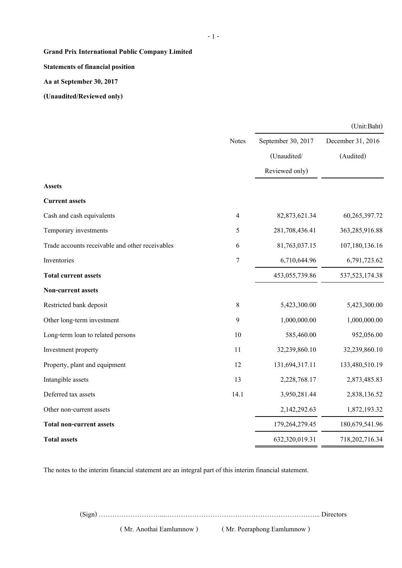**Statements of financial position**

**Aa at September 30, 2017**

**(Unaudited/Reviewed only)**

|                                                 |                |                    | (Unit:Baht)       |
|-------------------------------------------------|----------------|--------------------|-------------------|
|                                                 | Notes          | September 30, 2017 | December 31, 2016 |
|                                                 |                | (Unaudited/        | (Audited)         |
|                                                 |                | Reviewed only)     |                   |
| Assets                                          |                |                    |                   |
| <b>Current assets</b>                           |                |                    |                   |
| Cash and cash equivalents                       | $\overline{4}$ | 82,873,621.34      | 60,265,397.72     |
| Temporary investments                           | 5              | 281,708,436.41     | 363,285,916.88    |
| Trade accounts receivable and other receivables | 6              | 81,763,037.15      | 107,180,136.16    |
| Inventories                                     | $\tau$         | 6,710,644.96       | 6,791,723.62      |
| <b>Total current assets</b>                     |                | 453,055,739.86     | 537, 523, 174. 38 |
| Non-current assets                              |                |                    |                   |
| Restricted bank deposit                         | $\,8\,$        | 5,423,300.00       | 5,423,300.00      |
| Other long-term investment                      | 9              | 1,000,000.00       | 1,000,000.00      |
| Long-term loan to related persons               | 10             | 585,460.00         | 952,056.00        |
| Investment property                             | 11             | 32,239,860.10      | 32,239,860.10     |
| Property, plant and equipment                   | 12             | 131,694,317.11     | 133,480,510.19    |
| Intangible assets                               | 13             | 2,228,768.17       | 2,873,485.83      |
| Deferred tax assets                             | 14.1           | 3,950,281.44       | 2,838,136.52      |
| Other non-current assets                        |                | 2,142,292.63       | 1,872,193.32      |
| <b>Total non-current assets</b>                 |                | 179,264,279.45     | 180,679,541.96    |
| <b>Total assets</b>                             |                | 632,320,019.31     | 718,202,716.34    |

The notes to the interim financial statement are an integral part of this interim financial statement.

(Sign) ………………………...…………………………………………………………... Directors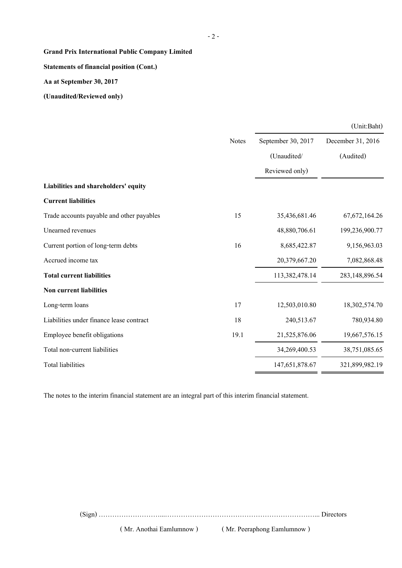**Statements of financial position (Cont.)**

**Aa at September 30, 2017**

**(Unaudited/Reviewed only)**

|                                           |              |                    | (Unit:Baht)       |
|-------------------------------------------|--------------|--------------------|-------------------|
|                                           | <b>Notes</b> | September 30, 2017 | December 31, 2016 |
|                                           |              | (Unaudited/        | (Audited)         |
|                                           |              | Reviewed only)     |                   |
| Liabilities and shareholders' equity      |              |                    |                   |
| <b>Current liabilities</b>                |              |                    |                   |
| Trade accounts payable and other payables | 15           | 35,436,681.46      | 67, 672, 164. 26  |
| Unearned revenues                         |              | 48,880,706.61      | 199,236,900.77    |
| Current portion of long-term debts        | 16           | 8,685,422.87       | 9,156,963.03      |
| Accrued income tax                        |              | 20,379,667.20      | 7,082,868.48      |
| <b>Total current liabilities</b>          |              | 113,382,478.14     | 283,148,896.54    |
| <b>Non current liabilities</b>            |              |                    |                   |
| Long-term loans                           | 17           | 12,503,010.80      | 18,302,574.70     |
| Liabilities under finance lease contract  | 18           | 240,513.67         | 780,934.80        |
| Employee benefit obligations              | 19.1         | 21,525,876.06      | 19,667,576.15     |
| Total non-current liabilities             |              | 34,269,400.53      | 38,751,085.65     |
| <b>Total liabilities</b>                  |              | 147,651,878.67     | 321,899,982.19    |

The notes to the interim financial statement are an integral part of this interim financial statement.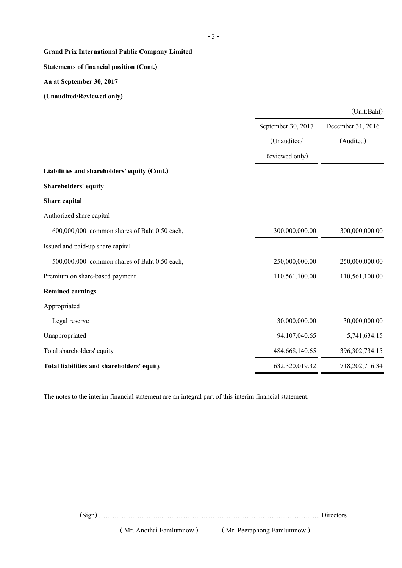# **Statements of financial position (Cont.)**

**Aa at September 30, 2017**

**(Unaudited/Reviewed only)**

|                                              |                    | (Unit:Baht)       |
|----------------------------------------------|--------------------|-------------------|
|                                              | September 30, 2017 | December 31, 2016 |
|                                              | (Unaudited/        | (Audited)         |
|                                              | Reviewed only)     |                   |
| Liabilities and shareholders' equity (Cont.) |                    |                   |
| <b>Shareholders' equity</b>                  |                    |                   |
| Share capital                                |                    |                   |
| Authorized share capital                     |                    |                   |
| 600,000,000 common shares of Baht 0.50 each, | 300,000,000.00     | 300,000,000.00    |
| Issued and paid-up share capital             |                    |                   |
| 500,000,000 common shares of Baht 0.50 each, | 250,000,000.00     | 250,000,000.00    |
| Premium on share-based payment               | 110,561,100.00     | 110,561,100.00    |
| <b>Retained earnings</b>                     |                    |                   |
| Appropriated                                 |                    |                   |
| Legal reserve                                | 30,000,000.00      | 30,000,000.00     |
| Unappropriated                               | 94,107,040.65      | 5,741,634.15      |
| Total shareholders' equity                   | 484,668,140.65     | 396, 302, 734. 15 |
| Total liabilities and shareholders' equity   | 632,320,019.32     | 718,202,716.34    |

The notes to the interim financial statement are an integral part of this interim financial statement.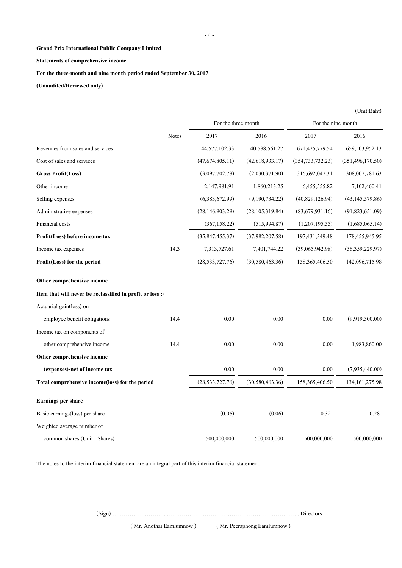#### **Statements of comprehensive income**

**For the three-month and nine month period ended September 30, 2017**

**(Unaudited/Reviewed only)**

|                                                           |       | For the three-month |                   | For the nine-month |                    |  |
|-----------------------------------------------------------|-------|---------------------|-------------------|--------------------|--------------------|--|
|                                                           | Notes | 2017                | 2016              | 2017               | 2016               |  |
| Revenues from sales and services                          |       | 44,577,102.33       | 40,588,561.27     | 671,425,779.54     | 659,503,952.13     |  |
| Cost of sales and services                                |       | (47, 674, 805.11)   | (42, 618, 933.17) | (354, 733, 732.23) | (351, 496, 170.50) |  |
| <b>Gross Profit(Loss)</b>                                 |       | (3,097,702.78)      | (2,030,371.90)    | 316,692,047.31     | 308,007,781.63     |  |
| Other income                                              |       | 2,147,981.91        | 1,860,213.25      | 6,455,555.82       | 7,102,460.41       |  |
| Selling expenses                                          |       | (6,383,672.99)      | (9,190,734.22)    | (40,829,126.94)    | (43, 145, 579.86)  |  |
| Administrative expenses                                   |       | (28, 146, 903.29)   | (28, 105, 319.84) | (83,679,931.16)    | (91,823,651.09)    |  |
| Financial costs                                           |       | (367, 158.22)       | (515, 994.87)     | (1,207,195.55)     | (1,685,065.14)     |  |
| Profit(Loss) before income tax                            |       | (35, 847, 455.37)   | (37,982,207.58)   | 197, 431, 349. 48  | 178,455,945.95     |  |
| Income tax expenses                                       | 14.3  | 7,313,727.61        | 7,401,744.22      | (39,065,942.98)    | (36, 359, 229.97)  |  |
| Profit(Loss) for the period                               |       | (28, 533, 727.76)   | (30, 580, 463.36) | 158, 365, 406. 50  | 142,096,715.98     |  |
| Other comprehensive income                                |       |                     |                   |                    |                    |  |
| Item that will never be reclassified in profit or loss :- |       |                     |                   |                    |                    |  |
| Actuarial gain(loss) on                                   |       |                     |                   |                    |                    |  |
| employee benefit obligations                              | 14.4  | 0.00                | 0.00              | 0.00               | (9,919,300.00)     |  |
| Income tax on components of                               |       |                     |                   |                    |                    |  |
| other comprehensive income                                | 14.4  | 0.00                | 0.00              | 0.00               | 1,983,860.00       |  |
| Other comprehensive income                                |       |                     |                   |                    |                    |  |
| (expenses)-net of income tax                              |       | $0.00\,$            | 0.00              | 0.00               | (7,935,440.00)     |  |
| Total comprehensive income(loss) for the period           |       | (28, 533, 727.76)   | (30, 580, 463.36) | 158, 365, 406. 50  | 134, 161, 275. 98  |  |
| <b>Earnings per share</b>                                 |       |                     |                   |                    |                    |  |
| Basic earnings(loss) per share                            |       | (0.06)              | (0.06)            | 0.32               | 0.28               |  |
| Weighted average number of                                |       |                     |                   |                    |                    |  |
| common shares (Unit: Shares)                              |       | 500,000,000         | 500,000,000       | 500,000,000        | 500,000,000        |  |

The notes to the interim financial statement are an integral part of this interim financial statement.

(Sign) ………………………...…………………………………………………………... Directors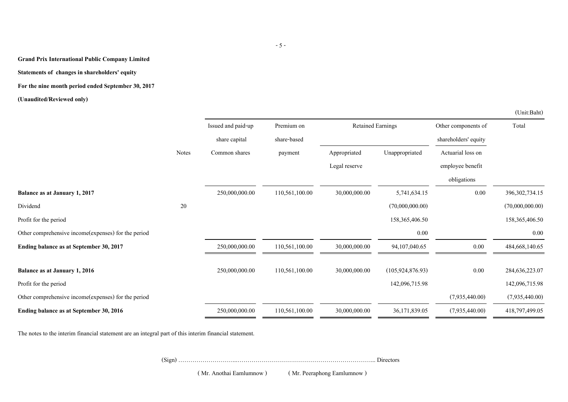#### **Statements of changes in shareholders' equity**

**For the nine month period ended September 30, 2017**

**(Unaudited/Reviewed only)**

|                                                     |              | Issued and paid-up | Premium on     | <b>Retained Earnings</b> |                    | Other components of  | Total             |
|-----------------------------------------------------|--------------|--------------------|----------------|--------------------------|--------------------|----------------------|-------------------|
|                                                     |              | share capital      | share-based    |                          |                    | shareholders' equity |                   |
|                                                     | <b>Notes</b> | Common shares      | payment        | Appropriated             | Unappropriated     | Actuarial loss on    |                   |
|                                                     |              |                    |                | Legal reserve            |                    | employee benefit     |                   |
|                                                     |              |                    |                |                          |                    | obligations          |                   |
| Balance as at January 1, 2017                       |              | 250,000,000.00     | 110,561,100.00 | 30,000,000.00            | 5,741,634.15       | $0.00\,$             | 396, 302, 734. 15 |
| Dividend                                            | 20           |                    |                |                          | (70,000,000.00)    |                      | (70,000,000.00)   |
| Profit for the period                               |              |                    |                |                          | 158,365,406.50     |                      | 158,365,406.50    |
| Other comprehensive income(expenses) for the period |              |                    |                |                          | 0.00               |                      | 0.00              |
| Ending balance as at September 30, 2017             |              | 250,000,000.00     | 110,561,100.00 | 30,000,000.00            | 94, 107, 040. 65   | $0.00\,$             | 484, 668, 140. 65 |
| Balance as at January 1, 2016                       |              | 250,000,000.00     | 110,561,100.00 | 30,000,000.00            | (105, 924, 876.93) | 0.00                 | 284,636,223.07    |
| Profit for the period                               |              |                    |                |                          | 142,096,715.98     |                      | 142,096,715.98    |
| Other comprehensive income(expenses) for the period |              |                    |                |                          |                    | (7,935,440.00)       | (7,935,440.00)    |
| Ending balance as at September 30, 2016             |              | 250,000,000.00     | 110,561,100.00 | 30,000,000.00            | 36,171,839.05      | (7,935,440.00)       | 418,797,499.05    |

The notes to the interim financial statement are an integral part of this interim financial statement.

(Sign) ………………………...…………………………………………………………... Directors

( Mr. Anothai Eamlumnow ) ( Mr. Peeraphong Eamlumnow )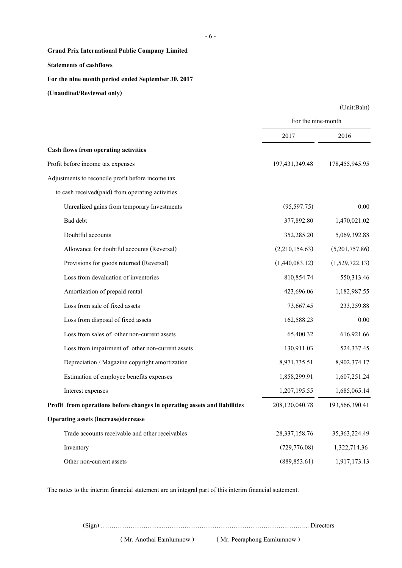**Statements of cashflows**

**For the nine month period ended September 30, 2017**

**(Unaudited/Reviewed only)**

|                                                                           | For the nine-month |                   |
|---------------------------------------------------------------------------|--------------------|-------------------|
|                                                                           | 2017               | 2016              |
| Cash flows from operating activities                                      |                    |                   |
| Profit before income tax expenses                                         | 197,431,349.48     | 178, 455, 945. 95 |
|                                                                           |                    |                   |
| Adjustments to reconcile profit before income tax                         |                    |                   |
| to cash received(paid) from operating activities                          |                    |                   |
| Unrealized gains from temporary Investments                               | (95, 597.75)       | 0.00              |
| Bad debt                                                                  | 377,892.80         | 1,470,021.02      |
| Doubtful accounts                                                         | 352,285.20         | 5,069,392.88      |
| Allowance for doubtful accounts (Reversal)                                | (2,210,154.63)     | (5,201,757.86)    |
| Provisions for goods returned (Reversal)                                  | (1,440,083.12)     | (1,529,722.13)    |
| Loss from devaluation of inventories                                      | 810,854.74         | 550,313.46        |
| Amortization of prepaid rental                                            | 423,696.06         | 1,182,987.55      |
| Loss from sale of fixed assets                                            | 73,667.45          | 233,259.88        |
| Loss from disposal of fixed assets                                        | 162,588.23         | 0.00              |
| Loss from sales of other non-current assets                               | 65,400.32          | 616,921.66        |
| Loss from impairment of other non-current assets                          | 130,911.03         | 524,337.45        |
| Depreciation / Magazine copyright amortization                            | 8,971,735.51       | 8,902,374.17      |
| Estimation of employee benefits expenses                                  | 1,858,299.91       | 1,607,251.24      |
| Interest expenses                                                         | 1,207,195.55       | 1,685,065.14      |
| Profit from operations before changes in operating assets and liabilities | 208,120,040.78     | 193,566,390.41    |
| <b>Operating assets (increase)decrease</b>                                |                    |                   |
| Trade accounts receivable and other receivables                           | 28, 337, 158.76    | 35, 363, 224. 49  |
| Inventory                                                                 | (729, 776.08)      | 1,322,714.36      |
| Other non-current assets                                                  | (889, 853.61)      | 1,917,173.13      |

The notes to the interim financial statement are an integral part of this interim financial statement.

(Sign) ………………………...…………………………………………………………... Directors

( Mr. Anothai Eamlumnow ) ( Mr. Peeraphong Eamlumnow )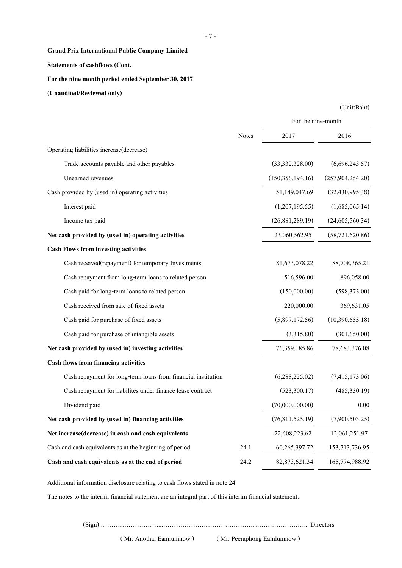# **Statements of cashflows (Cont.**

**For the nine month period ended September 30, 2017**

**(Unaudited/Reviewed only)**

| (Unit:Baht) |
|-------------|
|-------------|

|                                                               |              | For the nine-month |                   |
|---------------------------------------------------------------|--------------|--------------------|-------------------|
|                                                               | <b>Notes</b> | 2017               | 2016              |
| Operating liabilities increase(decrease)                      |              |                    |                   |
| Trade accounts payable and other payables                     |              | (33,332,328.00)    | (6,696,243.57)    |
| Unearned revenues                                             |              | (150, 356, 194.16) | (257,904,254.20)  |
| Cash provided by (used in) operating activities               |              | 51,149,047.69      | (32, 430, 995.38) |
| Interest paid                                                 |              | (1,207,195.55)     | (1,685,065.14)    |
| Income tax paid                                               |              | (26,881,289.19)    | (24,605,560.34)   |
| Net cash provided by (used in) operating activities           |              | 23,060,562.95      | (58, 721, 620.86) |
| <b>Cash Flows from investing activities</b>                   |              |                    |                   |
| Cash received(repayment) for temporary Investments            |              | 81,673,078.22      | 88,708,365.21     |
| Cash repayment from long-term loans to related person         |              | 516,596.00         | 896,058.00        |
| Cash paid for long-term loans to related person               |              | (150,000.00)       | (598, 373.00)     |
| Cash received from sale of fixed assets                       |              | 220,000.00         | 369,631.05        |
| Cash paid for purchase of fixed assets                        |              | (5,897,172.56)     | (10,390,655.18)   |
| Cash paid for purchase of intangible assets                   |              | (3,315.80)         | (301, 650.00)     |
| Net cash provided by (used in) investing activities           |              | 76,359,185.86      | 78,683,376.08     |
| Cash flows from financing activities                          |              |                    |                   |
| Cash repayment for long-term loans from financial institution |              | (6,288,225.02)     | (7,415,173.06)    |
| Cash repayment for liabilites under finance lease contract    |              | (523,300.17)       | (485, 330.19)     |
| Dividend paid                                                 |              | (70,000,000.00)    | 0.00              |
| Net cash provided by (used in) financing activities           |              | (76,811,525.19)    | (7,900,503.25)    |
| Net increase(decrease) in cash and cash equivalents           |              | 22,608,223.62      | 12,061,251.97     |
| Cash and cash equivalents as at the beginning of period       | 24.1         | 60,265,397.72      | 153,713,736.95    |
| Cash and cash equivalents as at the end of period             | 24.2         | 82, 873, 621. 34   | 165,774,988.92    |

Additional information disclosure relating to cash flows stated in note 24.

The notes to the interim financial statement are an integral part of this interim financial statement.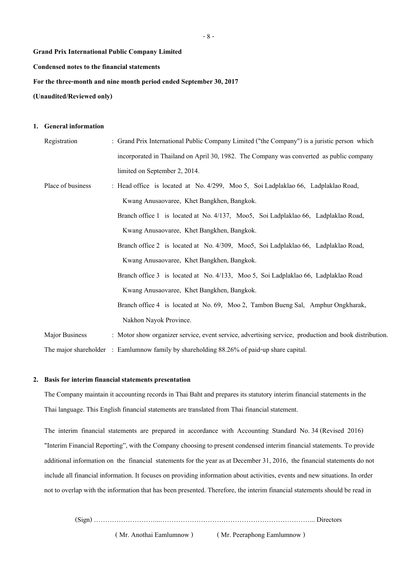**Condensed notes to the financial statements**

**For the three-month and nine month period ended September 30, 2017**

**(Unaudited/Reviewed only)**

#### **1. General information**

| Registration          | : Grand Prix International Public Company Limited ("the Company") is a juristic person which          |
|-----------------------|-------------------------------------------------------------------------------------------------------|
|                       | incorporated in Thailand on April 30, 1982. The Company was converted as public company               |
|                       | limited on September 2, 2014.                                                                         |
| Place of business     | : Head office is located at No. 4/299, Moo 5, Soi Ladplaklao 66, Ladplaklao Road,                     |
|                       | Kwang Anusaovaree, Khet Bangkhen, Bangkok.                                                            |
|                       | Branch office 1 is located at No. 4/137, Moo5, Soi Ladplaklao 66, Ladplaklao Road,                    |
|                       | Kwang Anusaovaree, Khet Bangkhen, Bangkok.                                                            |
|                       | Branch office 2 is located at No. 4/309, Moo5, Soi Ladplaklao 66, Ladplaklao Road,                    |
|                       | Kwang Anusaovaree, Khet Bangkhen, Bangkok.                                                            |
|                       | Branch office 3 is located at No. 4/133, Moo 5, Soi Ladplaklao 66, Ladplaklao Road                    |
|                       | Kwang Anusaovaree, Khet Bangkhen, Bangkok.                                                            |
|                       | Branch office 4 is located at No. 69, Moo 2, Tambon Bueng Sal, Amphur Ongkharak,                      |
|                       | Nakhon Nayok Province.                                                                                |
| <b>Major Business</b> | : Motor show organizer service, event service, advertising service, production and book distribution. |
|                       | The major shareholder : Eamlumnow family by shareholding 88.26% of paid-up share capital.             |

# **2. Basis for interim financial statements presentation**

The Company maintain it accounting records in Thai Baht and prepares its statutory interim financial statements in the Thai language. This English financial statements are translated from Thai financial statement.

The interim financial statements are prepared in accordance with Accounting Standard No. 34 (Revised 2016) "Interim Financial Reporting", with the Company choosing to present condensed interim financial statements. To provide additional information on the financial statements for the year as at December 31, 2016, the financial statements do not include all financial information. It focuses on providing information about activities, events and new situations. In order not to overlap with the information that has been presented. Therefore, the interim financial statements should be read in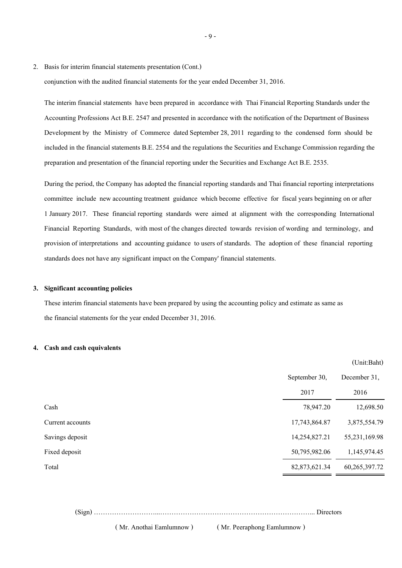2. Basis for interim financial statements presentation (Cont.)

conjunction with the audited financial statements for the year ended December 31, 2016.

The interim financial statements have been prepared in accordance with Thai Financial Reporting Standards under the Accounting Professions Act B.E. 2547 and presented in accordance with the notification of the Department of Business Development by the Ministry of Commerce dated September 28, 2011 regarding to the condensed form should be included in the financial statements B.E. 2554 and the regulations the Securities and Exchange Commission regarding the preparation and presentation of the financial reporting under the Securities and Exchange Act B.E. 2535.

During the period, the Company has adopted the financial reporting standards and Thai financial reporting interpretations committee include new accounting treatment guidance which become effective for fiscal years beginning on or after 1 January 2017. These financial reporting standards were aimed at alignment with the corresponding International Financial Reporting Standards, with most of the changes directed towards revision of wording and terminology, and provision of interpretations and accounting guidance to users of standards. The adoption of these financial reporting standards does not have any significant impact on the Company' financial statements.

#### **3. Significant accounting policies**

These interim financial statements have been prepared by using the accounting policy and estimate as same as the financial statements for the year ended December 31, 2016.

#### **4. Cash and cash equivalents**

|                  |               | (Unit:Baht)   |
|------------------|---------------|---------------|
|                  | September 30, | December 31,  |
|                  | 2017          | 2016          |
| Cash             | 78,947.20     | 12,698.50     |
| Current accounts | 17,743,864.87 | 3,875,554.79  |
| Savings deposit  | 14,254,827.21 | 55,231,169.98 |
| Fixed deposit    | 50,795,982.06 | 1,145,974.45  |
| Total            | 82,873,621.34 | 60,265,397.72 |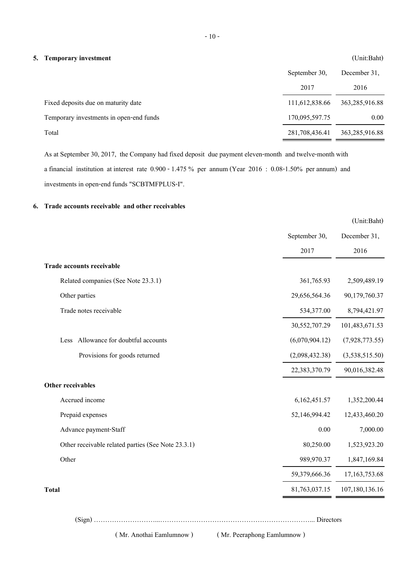# **5. Temporary investment** (Unit:Baht)

|                                         | September 30,<br>2017 | December 31.<br>2016 |
|-----------------------------------------|-----------------------|----------------------|
| Fixed deposits due on maturity date     | 111,612,838.66        | 363,285,916.88       |
| Temporary investments in open-end funds | 170,095,597.75        | 0.00                 |
| Total                                   | 281,708,436.41        | 363,285,916.88       |

As at September 30, 2017, the Company had fixed deposit due payment eleven-month and twelve-month with a financial institution at interest rate 0.900 - 1.475 % per annum (Year 2016 : 0.08-1.50% per annum) and investments in open-end funds "SCBTMFPLUS-I".

# **6. Trade accounts receivable and other receivables**

|                                                    |                | (Unit:Baht)      |
|----------------------------------------------------|----------------|------------------|
|                                                    | September 30,  | December 31,     |
|                                                    | 2017           | 2016             |
| Trade accounts receivable                          |                |                  |
| Related companies (See Note 23.3.1)                | 361,765.93     | 2,509,489.19     |
| Other parties                                      | 29,656,564.36  | 90,179,760.37    |
| Trade notes receivable                             | 534,377.00     | 8,794,421.97     |
|                                                    | 30,552,707.29  | 101,483,671.53   |
| Allowance for doubtful accounts<br>Less            | (6,070,904.12) | (7,928,773.55)   |
| Provisions for goods returned                      | (2,098,432.38) | (3,538,515.50)   |
|                                                    | 22,383,370.79  | 90,016,382.48    |
| Other receivables                                  |                |                  |
| Accrued income                                     | 6,162,451.57   | 1,352,200.44     |
| Prepaid expenses                                   | 52,146,994.42  | 12,433,460.20    |
| Advance payment-Staff                              | 0.00           | 7,000.00         |
| Other receivable related parties (See Note 23.3.1) | 80,250.00      | 1,523,923.20     |
| Other                                              | 989,970.37     | 1,847,169.84     |
|                                                    | 59,379,666.36  | 17, 163, 753. 68 |
| <b>Total</b>                                       | 81,763,037.15  | 107,180,136.16   |
|                                                    |                |                  |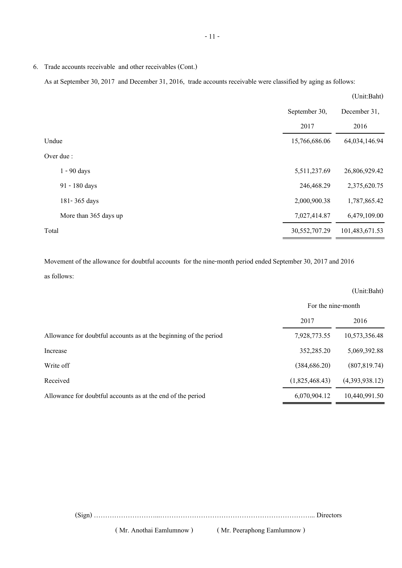6. Trade accounts receivable and other receivables (Cont.)

As at September 30, 2017 and December 31, 2016, trade accounts receivable were classified by aging as follows:

|       |                       |               | (Unit:Baht)    |
|-------|-----------------------|---------------|----------------|
|       |                       | September 30, | December 31,   |
|       |                       | 2017          | 2016           |
|       | Undue                 | 15,766,686.06 | 64,034,146.94  |
|       | Over due :            |               |                |
|       | $1 - 90$ days         | 5,511,237.69  | 26,806,929.42  |
|       | 91 - 180 days         | 246,468.29    | 2,375,620.75   |
|       | 181-365 days          | 2,000,900.38  | 1,787,865.42   |
|       | More than 365 days up | 7,027,414.87  | 6,479,109.00   |
| Total |                       | 30,552,707.29 | 101,483,671.53 |

Movement of the allowance for doubtful accounts for the nine-month period ended September 30, 2017 and 2016

as follows:

|                                                                   |                    | (Unit:Baht)    |
|-------------------------------------------------------------------|--------------------|----------------|
|                                                                   | For the nine-month |                |
|                                                                   | 2017               | 2016           |
| Allowance for doubtful accounts as at the beginning of the period | 7,928,773.55       | 10,573,356.48  |
| Increase                                                          | 352,285.20         | 5,069,392.88   |
| Write off                                                         | (384, 686.20)      | (807, 819.74)  |
| Received                                                          | (1,825,468.43)     | (4,393,938.12) |
| Allowance for doubtful accounts as at the end of the period       | 6,070,904.12       | 10,440,991.50  |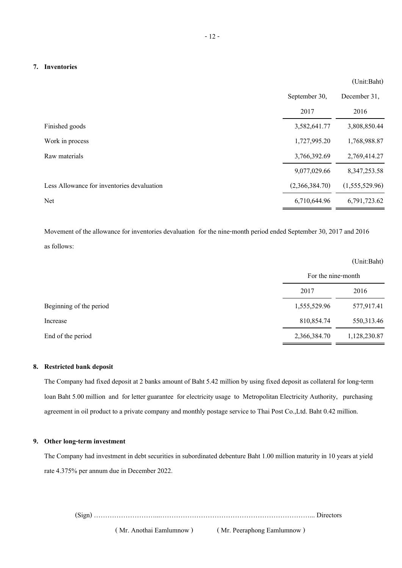#### **7. Inventories**

|                                            | September 30,  | December 31,    |
|--------------------------------------------|----------------|-----------------|
|                                            | 2017           | 2016            |
| Finished goods                             | 3,582,641.77   | 3,808,850.44    |
| Work in process                            | 1,727,995.20   | 1,768,988.87    |
| Raw materials                              | 3,766,392.69   | 2,769,414.27    |
|                                            | 9,077,029.66   | 8, 347, 253. 58 |
| Less Allowance for inventories devaluation | (2,366,384.70) | (1,555,529.96)  |
| Net                                        | 6,710,644.96   | 6,791,723.62    |

Movement of the allowance for inventories devaluation for the nine-month period ended September 30, 2017 and 2016 as follows:

|                         |                    | $\Upsilon$ ult.Dailt |
|-------------------------|--------------------|----------------------|
|                         | For the nine-month |                      |
|                         | 2017               | 2016                 |
| Beginning of the period | 1,555,529.96       | 577,917.41           |
| Increase                | 810,854.74         | 550,313.46           |
| End of the period       | 2,366,384.70       | 1,128,230.87         |

# **8. Restricted bank deposit**

The Company had fixed deposit at 2 banks amount of Baht 5.42 million by using fixed deposit as collateral for long-term loan Baht 5.00 million and for letter guarantee for electricity usage to Metropolitan Electricity Authority, purchasing agreement in oil product to a private company and monthly postage service to Thai Post Co.,Ltd. Baht 0.42 million.

# **9. Other long-term investment**

The Company had investment in debt securities in subordinated debenture Baht 1.00 million maturity in 10 years at yield rate 4.375% per annum due in December 2022.

(Sign) ………………………...…………………………………………………………... Directors

(Unit:Baht)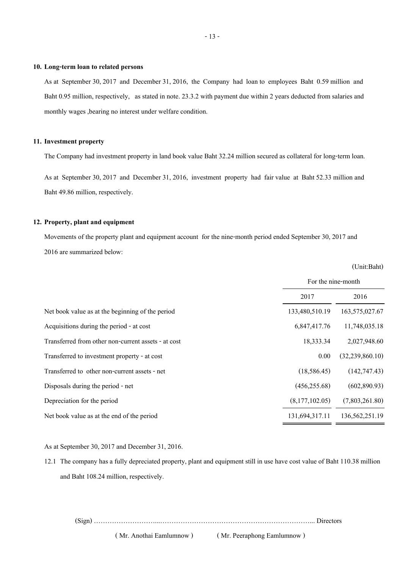#### **10. Long-term loan to related persons**

As at September 30, 2017 and December 31, 2016, the Company had loan to employees Baht 0.59 million and Baht 0.95 million, respectively, as stated in note. 23.3.2 with payment due within 2 years deducted from salaries and monthly wages ,bearing no interest under welfare condition.

#### **11. Investment property**

The Company had investment property in land book value Baht 32.24 million secured as collateral for long-term loan.

As at September 30, 2017 and December 31, 2016, investment property had fair value at Baht 52.33 million and Baht 49.86 million, respectively.

# **12. Property, plant and equipment**

Movements of the property plant and equipment account for the nine-month period ended September 30, 2017 and 2016 are summarized below:

(Unit:Baht)

|                                                     | For the nine-month |                    |
|-----------------------------------------------------|--------------------|--------------------|
|                                                     | 2017               | 2016               |
| Net book value as at the beginning of the period    | 133,480,510.19     | 163,575,027.67     |
| Acquisitions during the period - at cost            | 6,847,417.76       | 11,748,035.18      |
| Transferred from other non-current assets - at cost | 18,333.34          | 2,027,948.60       |
| Transferred to investment property - at cost        | 0.00               | (32, 239, 860, 10) |
| Transferred to other non-current assets - net       | (18, 586.45)       | (142, 747.43)      |
| Disposals during the period - net                   | (456, 255.68)      | (602,890.93)       |
| Depreciation for the period                         | (8,177,102.05)     | (7,803,261.80)     |
| Net book value as at the end of the period          | 131,694,317.11     | 136,562,251.19     |

As at September 30, 2017 and December 31, 2016.

12.1 The company has a fully depreciated property, plant and equipment still in use have cost value of Baht 110.38 million and Baht 108.24 million, respectively.

(Sign) ………………………...…………………………………………………………... Directors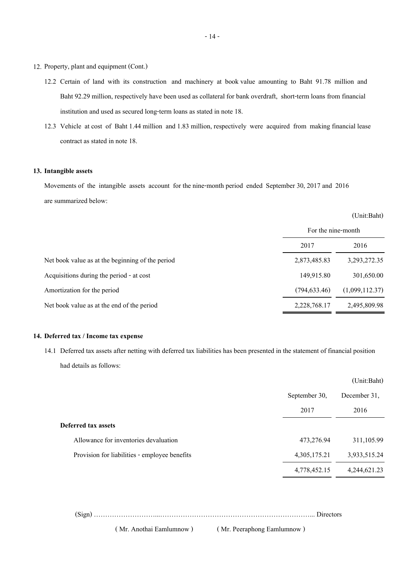- 12. Property, plant and equipment (Cont.)
	- 12.2 Certain of land with its construction and machinery at book value amounting to Baht 91.78 million and Baht 92.29 million, respectively have been used as collateral for bank overdraft, short-term loans from financial institution and used as secured long-term loans as stated in note 18.
	- 12.3 Vehicle at cost of Baht 1.44 million and 1.83 million, respectively were acquired from making financial lease contract as stated in note 18.

#### **13. Intangible assets**

Movements of the intangible assets account for the nine-month period ended September 30, 2017 and 2016 are summarized below:

#### (Unit:Baht)

|                                                  | For the nine-month |                |
|--------------------------------------------------|--------------------|----------------|
|                                                  | 2017               | 2016           |
| Net book value as at the beginning of the period | 2,873,485.83       | 3,293,272.35   |
| Acquisitions during the period - at cost         | 149,915.80         | 301,650.00     |
| Amortization for the period                      | (794, 633.46)      | (1,099,112.37) |
| Net book value as at the end of the period       | 2,228,768.17       | 2,495,809.98   |

# **14. Deferred tax / Income tax expense**

14.1 Deferred tax assets after netting with deferred tax liabilities has been presented in the statement of financial position had details as follows:

|                                               |               | (Unit:Baht)  |  |
|-----------------------------------------------|---------------|--------------|--|
|                                               | September 30, | December 31, |  |
|                                               | 2017          | 2016         |  |
| Deferred tax assets                           |               |              |  |
| Allowance for inventories devaluation         | 473,276.94    | 311,105.99   |  |
| Provision for liabilities - employee benefits | 4,305,175.21  | 3,933,515.24 |  |
|                                               | 4,778,452.15  | 4,244,621.23 |  |
|                                               |               |              |  |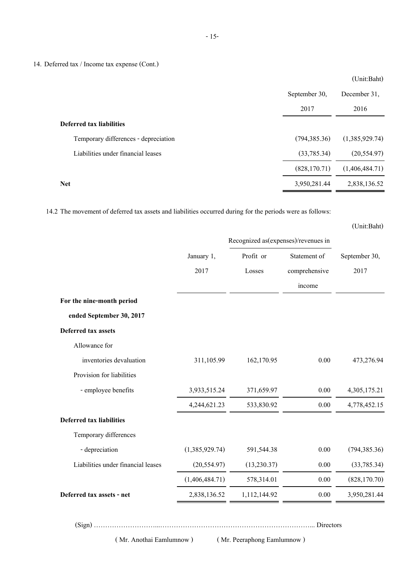14. Deferred tax / Income tax expense (Cont.)

|                                      |               | $\sqrt{2}$     |
|--------------------------------------|---------------|----------------|
|                                      | September 30, | December 31,   |
|                                      | 2017          | 2016           |
| Deferred tax liabilities             |               |                |
| Temporary differences - depreciation | (794, 385.36) | (1,385,929.74) |
| Liabilities under financial leases   | (33,785.34)   | (20, 554.97)   |
|                                      | (828, 170.71) | (1,406,484.71) |
| <b>Net</b>                           | 3,950,281.44  | 2,838,136.52   |
|                                      |               |                |

14.2 The movement of deferred tax assets and liabilities occurred during for the periods were as follows:

|                                    |                                     |              |               | (Unit:Baht)   |
|------------------------------------|-------------------------------------|--------------|---------------|---------------|
|                                    | Recognized as(expenses)/revenues in |              |               |               |
|                                    | Profit or<br>January 1,             |              | Statement of  | September 30, |
|                                    | 2017                                | Losses       | comprehensive | 2017          |
|                                    |                                     |              | income        |               |
| For the nine-month period          |                                     |              |               |               |
| ended September 30, 2017           |                                     |              |               |               |
| Deferred tax assets                |                                     |              |               |               |
| Allowance for                      |                                     |              |               |               |
| inventories devaluation            | 311,105.99                          | 162,170.95   | 0.00          | 473,276.94    |
| Provision for liabilities          |                                     |              |               |               |
| - employee benefits                | 3,933,515.24                        | 371,659.97   | 0.00          | 4,305,175.21  |
|                                    | 4,244,621.23                        | 533,830.92   | 0.00          | 4,778,452.15  |
| <b>Deferred tax liabilities</b>    |                                     |              |               |               |
| Temporary differences              |                                     |              |               |               |
| - depreciation                     | (1,385,929.74)                      | 591,544.38   | 0.00          | (794, 385.36) |
| Liabilities under financial leases | (20, 554.97)                        | (13, 230.37) | 0.00          | (33, 785.34)  |
|                                    | (1,406,484.71)                      | 578,314.01   | 0.00          | (828, 170.70) |
| Deferred tax assets - net          | 2,838,136.52                        | 1,112,144.92 | $0.00\,$      | 3,950,281.44  |
|                                    |                                     |              |               |               |

(Sign) ………………………...…………………………………………………………... Directors

( Mr. Anothai Eamlumnow ) ( Mr. Peeraphong Eamlumnow )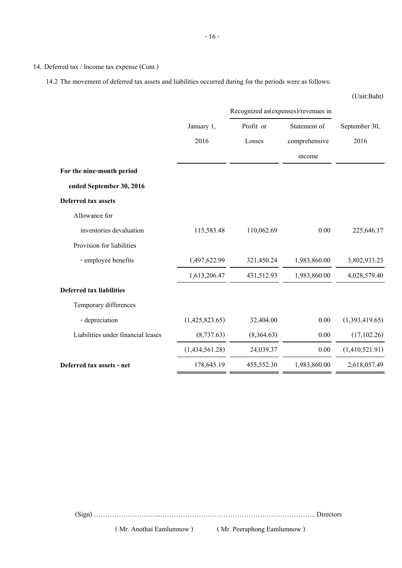14. Deferred tax / Income tax expense (Cont.)

14.2 The movement of deferred tax assets and liabilities occurred during for the periods were as follows:

|                                    |                |            | Recognized as(expenses)/revenues in |                |  |
|------------------------------------|----------------|------------|-------------------------------------|----------------|--|
|                                    | January 1,     | Profit or  | Statement of                        | September 30,  |  |
|                                    | 2016           | Losses     | comprehensive                       | 2016           |  |
|                                    |                |            | income                              |                |  |
| For the nine-month period          |                |            |                                     |                |  |
| ended September 30, 2016           |                |            |                                     |                |  |
| Deferred tax assets                |                |            |                                     |                |  |
| Allowance for                      |                |            |                                     |                |  |
| inventories devaluation            | 115,583.48     | 110,062.69 | 0.00                                | 225,646.17     |  |
| Provision for liabilities          |                |            |                                     |                |  |
| - employee benefits                | 1,497,622.99   | 321,450.24 | 1,983,860.00                        | 3,802,933.23   |  |
|                                    | 1,613,206.47   | 431,512.93 | 1,983,860.00                        | 4,028,579.40   |  |
| <b>Deferred tax liabilities</b>    |                |            |                                     |                |  |
| Temporary differences              |                |            |                                     |                |  |
| - depreciation                     | (1,425,823.65) | 32,404.00  | 0.00                                | (1,393,419.65) |  |
| Liabilities under financial leases | (8,737.63)     | (8,364.63) | 0.00                                | (17, 102.26)   |  |
|                                    | (1,434,561.28) | 24,039.37  | 0.00                                | (1,410,521.91) |  |
| Deferred tax assets - net          | 178,645.19     | 455,552.30 | 1,983,860.00                        | 2,618,057.49   |  |

(Sign) ………………………...…………………………………………………………... Directors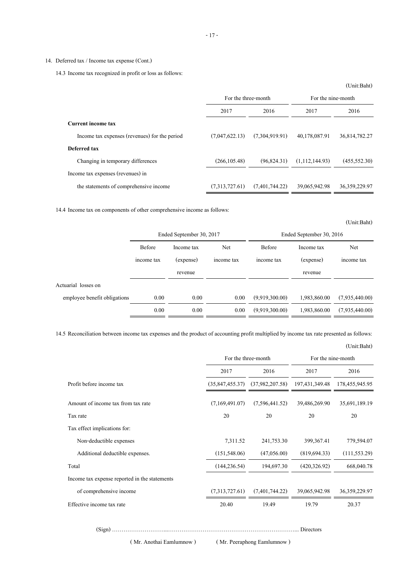14.3 Income tax recognized in profit or loss as follows:

|                                               |                |                     |                | (Unit:Baht)        |
|-----------------------------------------------|----------------|---------------------|----------------|--------------------|
|                                               |                | For the three-month |                | For the nine-month |
|                                               | 2017           | 2016                | 2017           | 2016               |
| <b>Current income tax</b>                     |                |                     |                |                    |
| Income tax expenses (revenues) for the period | (7,047,622,13) | (7,304,919.91)      | 40,178,087.91  | 36,814,782,27      |
| Deferred tax                                  |                |                     |                |                    |
| Changing in temporary differences             | (266, 105.48)  | (96,824,31)         | (1,112,144.93) | (455, 552, 30)     |
| Income tax expenses (revenues) in             |                |                     |                |                    |
| the statements of comprehensive income        | (7,313,727,61) | (7,401,744,22)      | 39,065,942.98  | 36, 359, 229. 97   |

14.4 Income tax on components of other comprehensive income as follows:

|                              | Ended September 30, 2017 |           |            | Ended September 30, 2016 |              |                |
|------------------------------|--------------------------|-----------|------------|--------------------------|--------------|----------------|
|                              | Before<br>Income tax     | Net       | Before     | Income tax               | Net          |                |
|                              | income tax               | (expense) | income tax | income tax               | (expense)    | income tax     |
|                              |                          | revenue   |            |                          | revenue      |                |
| Actuarial losses on          |                          |           |            |                          |              |                |
| employee benefit obligations | 0.00                     | 0.00      | 0.00       | (9,919,300.00)           | 1,983,860.00 | (7,935,440.00) |
|                              | 0.00                     | 0.00      | 0.00       | (9.919,300.00)           | 1,983,860.00 | (7,935,440,00) |

14.5 Reconciliation between income tax expenses and the product of accounting profit multiplied by income tax rate presented as follows:

|                                               | For the three-month |                 | For the nine-month |                |
|-----------------------------------------------|---------------------|-----------------|--------------------|----------------|
|                                               | 2017                | 2016            | 2017               | 2016           |
| Profit before income tax                      | (35, 847, 455.37)   | (37,982,207.58) | 197, 431, 349. 48  | 178,455,945.95 |
| Amount of income tax from tax rate            | (7,169,491.07)      | (7,596,441.52)  | 39,486,269.90      | 35,691,189.19  |
| Tax rate                                      | 20                  | 20              | 20                 | 20             |
| Tax effect implications for:                  |                     |                 |                    |                |
| Non-deductible expenses                       | 7,311.52            | 241,753.30      | 399, 367. 41       | 779,594.07     |
| Additional deductible expenses.               | (151, 548.06)       | (47,056.00)     | (819, 694.33)      | (111, 553.29)  |
| Total                                         | (144, 236.54)       | 194,697.30      | (420, 326.92)      | 668,040.78     |
| Income tax expense reported in the statements |                     |                 |                    |                |
| of comprehensive income                       | (7,313,727.61)      | (7,401,744.22)  | 39,065,942.98      | 36,359,229.97  |
| Effective income tax rate                     | 20.40               | 19.49           | 19.79              | 20.37          |
|                                               |                     |                 |                    |                |

(Sign) ………………………...…………………………………………………………... Directors

- 17 -

(Unit:Baht)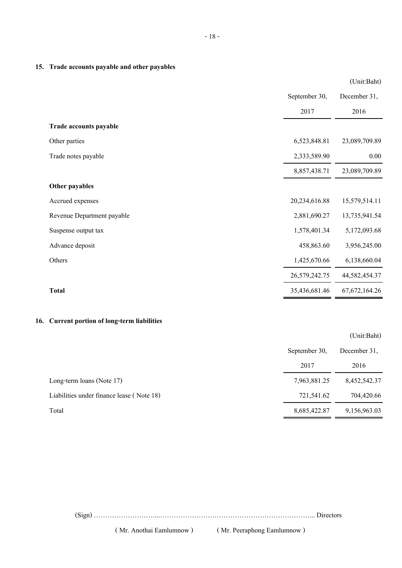|                            |               | (Unit:Baht)      |
|----------------------------|---------------|------------------|
|                            | September 30, | December 31,     |
|                            | 2017          | 2016             |
| Trade accounts payable     |               |                  |
| Other parties              | 6,523,848.81  | 23,089,709.89    |
| Trade notes payable        | 2,333,589.90  | 0.00             |
|                            | 8,857,438.71  | 23,089,709.89    |
| Other payables             |               |                  |
| Accrued expenses           | 20,234,616.88 | 15,579,514.11    |
| Revenue Department payable | 2,881,690.27  | 13,735,941.54    |
| Suspense output tax        | 1,578,401.34  | 5,172,093.68     |
| Advance deposit            | 458,863.60    | 3,956,245.00     |
| Others                     | 1,425,670.66  | 6,138,660.04     |
|                            | 26,579,242.75 | 44,582,454.37    |
| <b>Total</b>               | 35,436,681.46 | 67, 672, 164. 26 |

# **16. Current portion of long-term liabilities**

|                                           |               | (Unit:Baht)  |
|-------------------------------------------|---------------|--------------|
|                                           | September 30, | December 31. |
|                                           | 2017          | 2016         |
| Long-term loans (Note 17)                 | 7,963,881.25  | 8,452,542.37 |
| Liabilities under finance lease (Note 18) | 721,541.62    | 704,420.66   |
| Total                                     | 8,685,422.87  | 9,156,963.03 |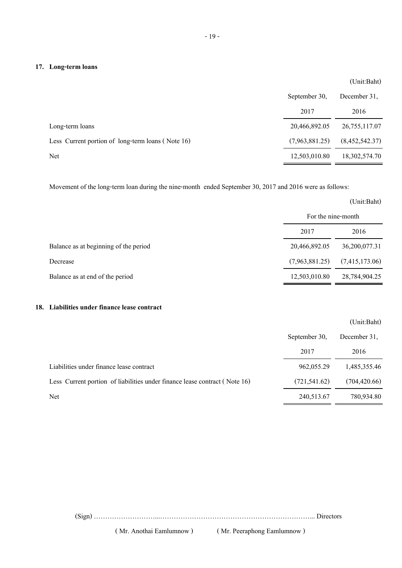# **17. Long-term loans**

|                                                   |                | (Unit:Baht)     |
|---------------------------------------------------|----------------|-----------------|
|                                                   | September 30,  | December 31,    |
|                                                   | 2017           | 2016            |
| Long-term loans                                   | 20,466,892.05  | 26, 755, 117.07 |
| Less Current portion of long-term loans (Note 16) | (7,963,881.25) | (8,452,542.37)  |
| Net                                               | 12,503,010.80  | 18,302,574.70   |

Movement of the long-term loan during the nine-month ended September 30, 2017 and 2016 were as follows:

|                                       |                    | (Unit:Baht)    |
|---------------------------------------|--------------------|----------------|
|                                       | For the nine-month |                |
|                                       | 2017               | 2016           |
| Balance as at beginning of the period | 20,466,892.05      | 36,200,077.31  |
| Decrease                              | (7,963,881.25)     | (7,415,173.06) |
| Balance as at end of the period       | 12,503,010.80      | 28,784,904.25  |

# **18. Liabilities under finance lease contract**

|                                                                            |               | (Unit:Baht)   |
|----------------------------------------------------------------------------|---------------|---------------|
|                                                                            | September 30, | December 31.  |
|                                                                            | 2017          | 2016          |
| Liabilities under finance lease contract                                   | 962,055.29    | 1,485,355.46  |
| Less Current portion of liabilities under finance lease contract (Note 16) | (721, 541.62) | (704, 420.66) |
| Net                                                                        | 240,513.67    | 780,934.80    |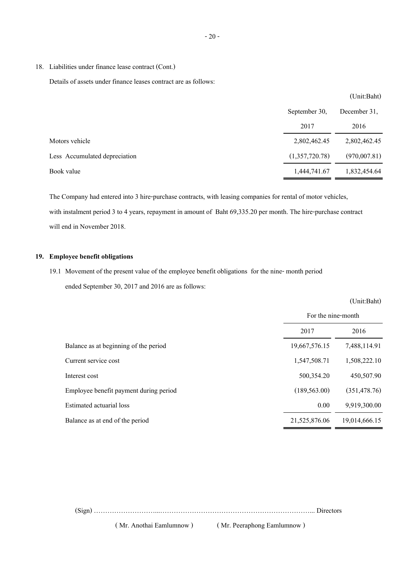18. Liabilities under finance lease contract (Cont.)

Details of assets under finance leases contract are as follows:

|                               |                | $\sim$ 2.2.200 $\sim$ $\sim$ $\sim$ $\sim$ $\sim$ $\sim$ |
|-------------------------------|----------------|----------------------------------------------------------|
|                               | September 30,  | December 31,                                             |
|                               | 2017           | 2016                                                     |
| Motors vehicle                | 2,802,462.45   | 2,802,462.45                                             |
| Less Accumulated depreciation | (1,357,720.78) | (970,007.81)                                             |
| Book value                    | 1,444,741.67   | 1,832,454.64                                             |

The Company had entered into 3 hire-purchase contracts, with leasing companies for rental of motor vehicles, with instalment period 3 to 4 years, repayment in amount of Baht 69,335.20 per month. The hire-purchase contract will end in November 2018.

# **19. Employee benefit obligations**

# 19.1 Movement of the present value of the employee benefit obligations for the nine- month period ended September 30, 2017 and 2016 are as follows:

|                                        | (Unit:Baht)<br>For the nine-month |               |  |
|----------------------------------------|-----------------------------------|---------------|--|
|                                        |                                   |               |  |
|                                        | 2017                              | 2016          |  |
| Balance as at beginning of the period  | 19,667,576.15                     | 7,488,114.91  |  |
| Current service cost                   | 1,547,508.71                      | 1,508,222.10  |  |
| Interest cost                          | 500,354.20                        | 450,507.90    |  |
| Employee benefit payment during period | (189, 563.00)                     | (351, 478.76) |  |
| Estimated actuarial loss               | 0.00                              | 9,919,300.00  |  |
| Balance as at end of the period        | 21,525,876.06                     | 19,014,666.15 |  |

(Sign) ………………………...…………………………………………………………... Directors

( Mr. Anothai Eamlumnow ) ( Mr. Peeraphong Eamlumnow )

 $(1)$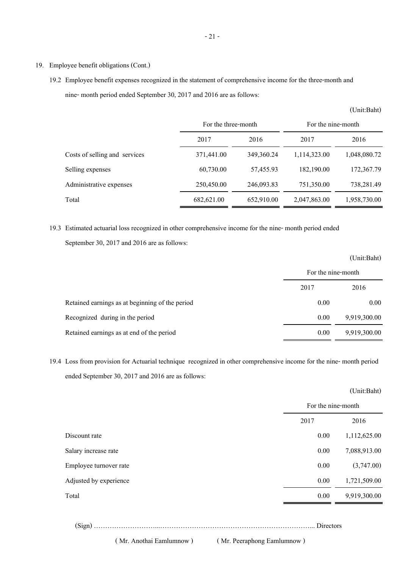# 19. Employee benefit obligations (Cont.)

19.2 Employee benefit expenses recognized in the statement of comprehensive income for the three-month and nine- month period ended September 30, 2017 and 2016 are as follows:

|                               | For the three-month |            | For the nine-month |              |
|-------------------------------|---------------------|------------|--------------------|--------------|
|                               | 2017                | 2016       | 2017               | 2016         |
| Costs of selling and services | 371,441.00          | 349,360.24 | 1,114,323.00       | 1,048,080.72 |
| Selling expenses              | 60,730.00           | 57,455.93  | 182,190.00         | 172,367.79   |
| Administrative expenses       | 250,450.00          | 246,093.83 | 751,350.00         | 738,281.49   |
| Total                         | 682,621.00          | 652,910.00 | 2,047,863.00       | 1,958,730.00 |

(Unit:Baht)

19.3 Estimated actuarial loss recognized in other comprehensive income for the nine- month period ended September 30, 2017 and 2016 are as follows:

|                                                 |                    | (Unit:Baht)  |
|-------------------------------------------------|--------------------|--------------|
|                                                 | For the nine-month |              |
|                                                 | 2017               | 2016         |
| Retained earnings as at beginning of the period | 0.00               | 0.00         |
| Recognized during in the period                 | 0.00               | 9,919,300.00 |
| Retained earnings as at end of the period       | 0.00               | 9,919,300.00 |

19.4 Loss from provision for Actuarial technique recognized in other comprehensive income for the nine- month period ended September 30, 2017 and 2016 are as follows:

|                        |                    | (Unit:Baht)  |
|------------------------|--------------------|--------------|
|                        | For the nine-month |              |
|                        | 2017               | 2016         |
| Discount rate          | 0.00               | 1,112,625.00 |
| Salary increase rate   | 0.00               | 7,088,913.00 |
| Employee turnover rate | 0.00               | (3,747.00)   |
| Adjusted by experience | 0.00               | 1,721,509.00 |
| Total                  | 0.00               | 9,919,300.00 |
|                        |                    |              |

(Sign) ………………………...…………………………………………………………... Directors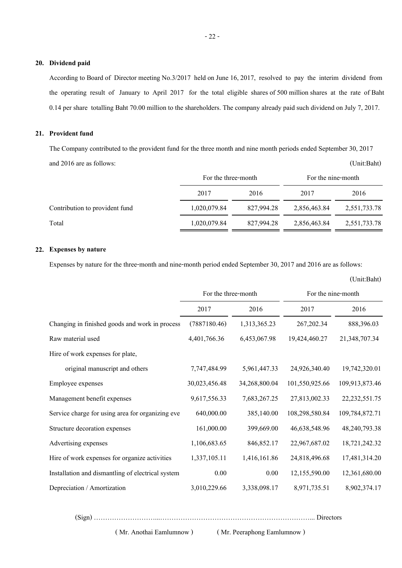# **20. Dividend paid**

According to Board of Director meeting No.3/2017 held on June 16, 2017, resolved to pay the interim dividend from the operating result of January to April 2017 for the total eligible shares of 500 million shares at the rate of Baht 0.14 per share totalling Baht 70.00 million to the shareholders. The company already paid such dividend on July 7, 2017.

#### **21. Provident fund**

The Company contributed to the provident fund for the three month and nine month periods ended September 30, 2017 and 2016 are as follows: (Unit:Baht)

|                                |              | For the three-month |              | For the nine-month |  |
|--------------------------------|--------------|---------------------|--------------|--------------------|--|
|                                | 2017         | 2016                | 2017         | 2016               |  |
| Contribution to provident fund | 1,020,079.84 | 827,994.28          | 2,856,463.84 | 2,551,733.78       |  |
| Total                          | 1,020,079.84 | 827,994.28          | 2,856,463.84 | 2,551,733.78       |  |

# **22. Expenses by nature**

Expenses by nature for the three-month and nine-month period ended September 30, 2017 and 2016 are as follows:

|                                                   | For the three-month |               | For the nine-month |                  |  |  |
|---------------------------------------------------|---------------------|---------------|--------------------|------------------|--|--|
|                                                   | 2017                | 2016          | 2017               | 2016             |  |  |
| Changing in finished goods and work in process    | (7887180.46)        | 1,313,365.23  | 267, 202.34        | 888,396.03       |  |  |
| Raw material used                                 | 4,401,766.36        | 6,453,067.98  | 19,424,460.27      | 21,348,707.34    |  |  |
| Hire of work expenses for plate,                  |                     |               |                    |                  |  |  |
| original manuscript and others                    | 7,747,484.99        | 5,961,447.33  | 24,926,340.40      | 19,742,320.01    |  |  |
| Employee expenses                                 | 30,023,456.48       | 34,268,800.04 | 101,550,925.66     | 109,913,873.46   |  |  |
| Management benefit expenses                       | 9,617,556.33        | 7,683,267.25  | 27,813,002.33      | 22, 232, 551. 75 |  |  |
| Service charge for using area for organizing eve  | 640,000.00          | 385,140.00    | 108,298,580.84     | 109,784,872.71   |  |  |
| Structure decoration expenses                     | 161,000.00          | 399,669.00    | 46,638,548.96      | 48,240,793.38    |  |  |
| Advertising expenses                              | 1,106,683.65        | 846, 852. 17  | 22,967,687.02      | 18,721,242.32    |  |  |
| Hire of work expenses for organize activities     | 1,337,105.11        | 1,416,161.86  | 24,818,496.68      | 17,481,314.20    |  |  |
| Installation and dismantling of electrical system | 0.00                | 0.00          | 12,155,590.00      | 12,361,680.00    |  |  |
| Depreciation / Amortization                       | 3,010,229.66        | 3,338,098.17  | 8,971,735.51       | 8,902,374.17     |  |  |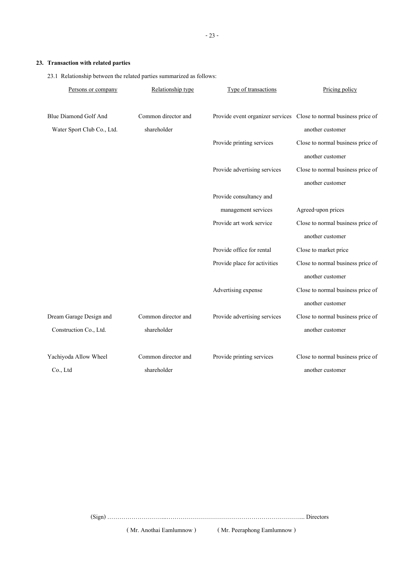# **23. Transaction with related parties**

23.1 Relationship between the related parties summarized as follows:

| Persons or company         | Relationship type   | Type of transactions         | Pricing policy                                                     |
|----------------------------|---------------------|------------------------------|--------------------------------------------------------------------|
|                            |                     |                              |                                                                    |
| Blue Diamond Golf And      | Common director and |                              | Provide event organizer services Close to normal business price of |
| Water Sport Club Co., Ltd. | shareholder         |                              | another customer                                                   |
|                            |                     | Provide printing services    | Close to normal business price of                                  |
|                            |                     |                              | another customer                                                   |
|                            |                     | Provide advertising services | Close to normal business price of                                  |
|                            |                     |                              | another customer                                                   |
|                            |                     | Provide consultancy and      |                                                                    |
|                            |                     | management services          | Agreed-upon prices                                                 |
|                            |                     | Provide art work service     | Close to normal business price of                                  |
|                            |                     |                              | another customer                                                   |
|                            |                     | Provide office for rental    | Close to market price                                              |
|                            |                     | Provide place for activities | Close to normal business price of                                  |
|                            |                     |                              | another customer                                                   |
|                            |                     | Advertising expense          | Close to normal business price of                                  |
|                            |                     |                              | another customer                                                   |
| Dream Garage Design and    | Common director and | Provide advertising services | Close to normal business price of                                  |
| Construction Co., Ltd.     | shareholder         |                              | another customer                                                   |
|                            |                     |                              |                                                                    |
| Yachiyoda Allow Wheel      | Common director and | Provide printing services    | Close to normal business price of                                  |
| Co., Ltd                   | shareholder         |                              | another customer                                                   |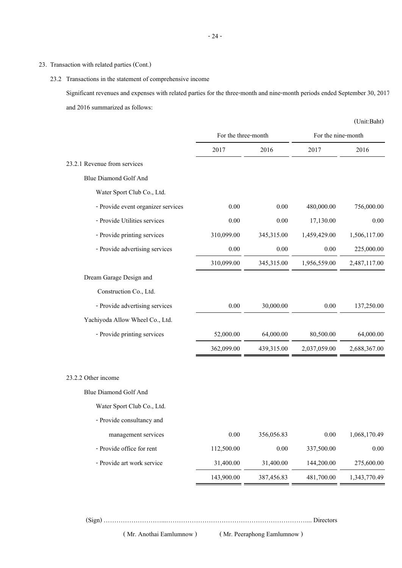# 23. Transaction with related parties (Cont.)

23.2 Transactions in the statement of comprehensive income

Significant revenues and expenses with related parties for the three-month and nine-month periods ended September 30, 2017 and 2016 summarized as follows:

|                                    |            |                                                                                                                                                                                                                                                                                                                                                                                                            |                    | (Unit:Baht)  |
|------------------------------------|------------|------------------------------------------------------------------------------------------------------------------------------------------------------------------------------------------------------------------------------------------------------------------------------------------------------------------------------------------------------------------------------------------------------------|--------------------|--------------|
|                                    |            |                                                                                                                                                                                                                                                                                                                                                                                                            | For the nine-month |              |
|                                    | 2017       | For the three-month<br>2016<br>2017<br>0.00<br>480,000.00<br>0.00<br>0.00<br>0.00<br>17,130.00<br>345,315.00<br>1,459,429.00<br>$0.00\,$<br>0.00<br>$0.00\,$<br>345,315.00<br>1,956,559.00<br>$0.00\,$<br>30,000.00<br>$0.00\,$<br>64,000.00<br>80,500.00<br>439,315.00<br>2,037,059.00<br>$0.00\,$<br>356,056.83<br>$0.00\,$<br>0.00<br>337,500.00<br>31,400.00<br>144,200.00<br>387,456.83<br>481,700.00 | 2016               |              |
| 23.2.1 Revenue from services       |            |                                                                                                                                                                                                                                                                                                                                                                                                            |                    |              |
| Blue Diamond Golf And              |            |                                                                                                                                                                                                                                                                                                                                                                                                            |                    |              |
| Water Sport Club Co., Ltd.         |            |                                                                                                                                                                                                                                                                                                                                                                                                            |                    |              |
| - Provide event organizer services |            |                                                                                                                                                                                                                                                                                                                                                                                                            |                    | 756,000.00   |
| - Provide Utilities services       |            |                                                                                                                                                                                                                                                                                                                                                                                                            |                    | 0.00         |
| - Provide printing services        | 310,099.00 |                                                                                                                                                                                                                                                                                                                                                                                                            |                    | 1,506,117.00 |
| - Provide advertising services     |            |                                                                                                                                                                                                                                                                                                                                                                                                            |                    | 225,000.00   |
|                                    | 310,099.00 |                                                                                                                                                                                                                                                                                                                                                                                                            |                    | 2,487,117.00 |
| Dream Garage Design and            |            |                                                                                                                                                                                                                                                                                                                                                                                                            |                    |              |
| Construction Co., Ltd.             |            |                                                                                                                                                                                                                                                                                                                                                                                                            |                    |              |
| - Provide advertising services     |            |                                                                                                                                                                                                                                                                                                                                                                                                            |                    | 137,250.00   |
| Yachiyoda Allow Wheel Co., Ltd.    |            |                                                                                                                                                                                                                                                                                                                                                                                                            |                    |              |
| - Provide printing services        | 52,000.00  |                                                                                                                                                                                                                                                                                                                                                                                                            |                    | 64,000.00    |
|                                    | 362,099.00 |                                                                                                                                                                                                                                                                                                                                                                                                            |                    | 2,688,367.00 |
| 23.2.2 Other income                |            |                                                                                                                                                                                                                                                                                                                                                                                                            |                    |              |
| <b>Blue Diamond Golf And</b>       |            |                                                                                                                                                                                                                                                                                                                                                                                                            |                    |              |
| Water Sport Club Co., Ltd.         |            |                                                                                                                                                                                                                                                                                                                                                                                                            |                    |              |
| - Provide consultancy and          |            |                                                                                                                                                                                                                                                                                                                                                                                                            |                    |              |
| management services                |            |                                                                                                                                                                                                                                                                                                                                                                                                            |                    | 1,068,170.49 |
| - Provide office for rent          | 112,500.00 |                                                                                                                                                                                                                                                                                                                                                                                                            |                    | $0.00\,$     |
| - Provide art work service         | 31,400.00  |                                                                                                                                                                                                                                                                                                                                                                                                            |                    | 275,600.00   |
|                                    | 143,900.00 |                                                                                                                                                                                                                                                                                                                                                                                                            |                    | 1,343,770.49 |
|                                    |            |                                                                                                                                                                                                                                                                                                                                                                                                            |                    |              |

(Sign) ………………………...…………………………………………………………... Directors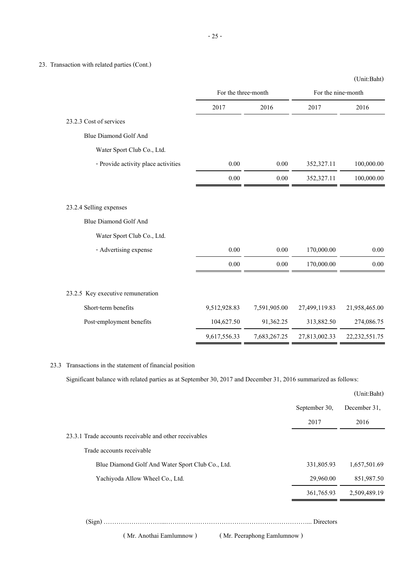# 23. Transaction with related parties (Cont.)

|                                                         |              |                     |               | (Unit:Baht)        |
|---------------------------------------------------------|--------------|---------------------|---------------|--------------------|
|                                                         |              | For the three-month |               | For the nine-month |
|                                                         | 2017         | 2016                | 2017          | 2016               |
| 23.2.3 Cost of services                                 |              |                     |               |                    |
| <b>Blue Diamond Golf And</b>                            |              |                     |               |                    |
| Water Sport Club Co., Ltd.                              |              |                     |               |                    |
| - Provide activity place activities                     | $0.00\,$     | $0.00\,$            | 352,327.11    | 100,000.00         |
|                                                         | 0.00         | 0.00                | 352,327.11    | 100,000.00         |
| 23.2.4 Selling expenses<br><b>Blue Diamond Golf And</b> |              |                     |               |                    |
| Water Sport Club Co., Ltd.                              |              |                     |               |                    |
| - Advertising expense                                   | 0.00         | 0.00                | 170,000.00    | 0.00               |
|                                                         | $0.00\,$     | 0.00                | 170,000.00    | 0.00               |
| 23.2.5 Key executive remuneration                       |              |                     |               |                    |
| Short-term benefits                                     | 9,512,928.83 | 7,591,905.00        | 27,499,119.83 | 21,958,465.00      |
| Post-employment benefits                                | 104,627.50   | 91,362.25           | 313,882.50    | 274,086.75         |
|                                                         | 9,617,556.33 | 7,683,267.25        | 27,813,002.33 | 22, 232, 551. 75   |

# 23.3 Transactions in the statement of financial position

Significant balance with related parties as at September 30, 2017 and December 31, 2016 summarized as follows:

|                                                        |               | (Unit:Baht)  |
|--------------------------------------------------------|---------------|--------------|
|                                                        | September 30, | December 31, |
|                                                        | 2017          | 2016         |
| 23.3.1 Trade accounts receivable and other receivables |               |              |
| Trade accounts receivable                              |               |              |
| Blue Diamond Golf And Water Sport Club Co., Ltd.       | 331,805.93    | 1,657,501.69 |
| Yachiyoda Allow Wheel Co., Ltd.                        | 29,960.00     | 851,987.50   |
|                                                        | 361,765.93    | 2,509,489.19 |
|                                                        |               |              |
|                                                        |               |              |

(Sign) ………………………...…………………………………………………………... Directors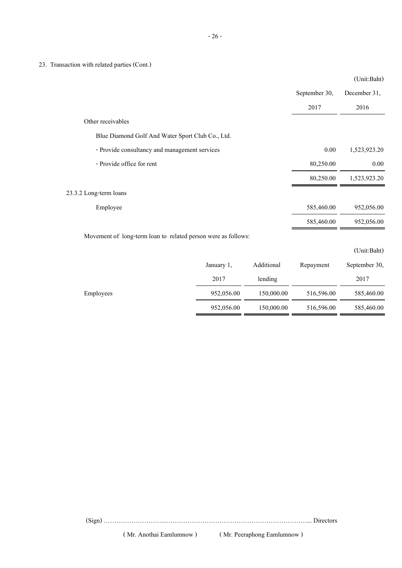23. Transaction with related parties (Cont.)

|                                                               |            |            |               | $\langle$ Ullit,Dalit |
|---------------------------------------------------------------|------------|------------|---------------|-----------------------|
|                                                               |            |            | September 30, | December 31,          |
|                                                               |            |            | 2017          | 2016                  |
| Other receivables                                             |            |            |               |                       |
| Blue Diamond Golf And Water Sport Club Co., Ltd.              |            |            |               |                       |
| - Provide consultancy and management services                 |            |            | 0.00          | 1,523,923.20          |
| - Provide office for rent                                     |            |            | 80,250.00     | 0.00                  |
|                                                               |            |            | 80,250.00     | 1,523,923.20          |
| 23.3.2 Long-term loans                                        |            |            |               |                       |
| Employee                                                      |            |            | 585,460.00    | 952,056.00            |
|                                                               |            |            | 585,460.00    | 952,056.00            |
| Movement of long-term loan to related person were as follows: |            |            |               |                       |
|                                                               |            |            |               | (Unit:Baht)           |
|                                                               | January 1, | Additional | Repayment     | September 30,         |
|                                                               | 2017       | lending    |               | 2017                  |
| Employees                                                     | 952,056.00 | 150,000.00 | 516,596.00    | 585,460.00            |
|                                                               | 952,056.00 | 150,000.00 | 516,596.00    | 585,460.00            |

(Sign) ………………………...…………………………………………………………... Directors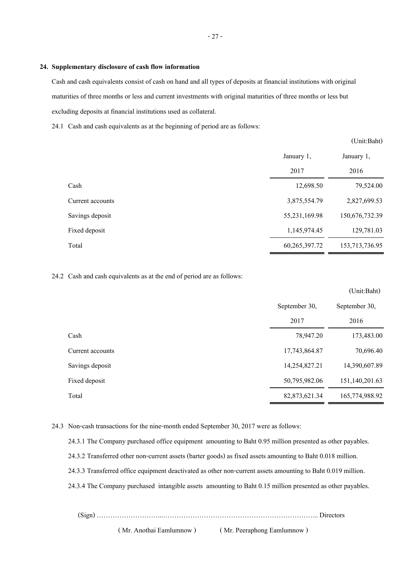#### **24. Supplementary disclosure of cash flow information**

Cash and cash equivalents consist of cash on hand and all types of deposits at financial institutions with original maturities of three months or less and current investments with original maturities of three months or less but excluding deposits at financial institutions used as collateral.

24.1 Cash and cash equivalents as at the beginning of period are as follows:

|                  |                  | (Unit:Baht)    |
|------------------|------------------|----------------|
|                  | January 1,       | January 1,     |
|                  | 2017             | 2016           |
| Cash             | 12,698.50        | 79,524.00      |
| Current accounts | 3,875,554.79     | 2,827,699.53   |
| Savings deposit  | 55,231,169.98    | 150,676,732.39 |
| Fixed deposit    | 1,145,974.45     | 129,781.03     |
| Total            | 60, 265, 397. 72 | 153,713,736.95 |

24.2 Cash and cash equivalents as at the end of period are as follows:

|                  |               | (Unit:Baht)    |
|------------------|---------------|----------------|
|                  | September 30, | September 30,  |
|                  | 2017          | 2016           |
| Cash             | 78,947.20     | 173,483.00     |
| Current accounts | 17,743,864.87 | 70,696.40      |
| Savings deposit  | 14,254,827.21 | 14,390,607.89  |
| Fixed deposit    | 50,795,982.06 | 151,140,201.63 |
| Total            | 82,873,621.34 | 165,774,988.92 |

24.3 Non-cash transactions for the nine-month ended September 30, 2017 were as follows:

24.3.1 The Company purchased office equipment amounting to Baht 0.95 million presented as other payables.

24.3.2 Transferred other non-current assets (barter goods) as fixed assets amounting to Baht 0.018 million.

24.3.3 Transferred office equipment deactivated as other non-current assets amounting to Baht 0.019 million.

24.3.4 The Company purchased intangible assets amounting to Baht 0.15 million presented as other payables.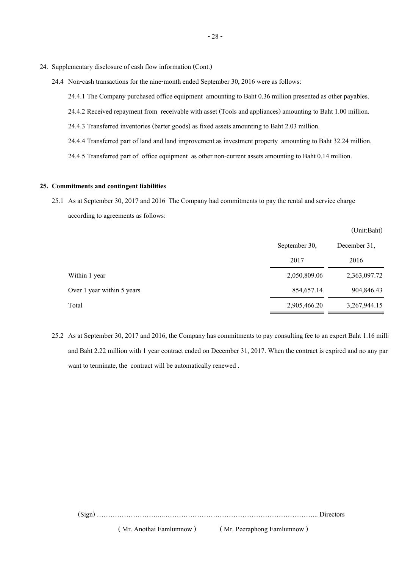- 24. Supplementary disclosure of cash flow information (Cont.)
	- 24.4 Non-cash transactions for the nine-month ended September 30, 2016 were as follows:

24.4.1 The Company purchased office equipment amounting to Baht 0.36 million presented as other payables.

- 24.4.2 Received repayment from receivable with asset (Tools and appliances) amounting to Baht 1.00 million.
- 24.4.3 Transferred inventories (barter goods) as fixed assets amounting to Baht 2.03 million.
- 24.4.4 Transferred part of land and land improvement as investment property amounting to Baht 32.24 million.

24.4.5 Transferred part of office equipment as other non-current assets amounting to Baht 0.14 million.

#### **25. Commitments and contingent liabilities**

25.1 As at September 30, 2017 and 2016 The Company had commitments to pay the rental and service charge according to agreements as follows:

|                            |               | (Unit:Bant)  |
|----------------------------|---------------|--------------|
|                            | September 30, | December 31, |
|                            | 2017          | 2016         |
| Within 1 year              | 2,050,809.06  | 2,363,097.72 |
| Over 1 year within 5 years | 854,657.14    | 904,846.43   |
| Total                      | 2,905,466.20  | 3,267,944.15 |

 $(TL)$ : Baht)

25.2 As at September 30, 2017 and 2016, the Company has commitments to pay consulting fee to an expert Baht 1.16 milli and Baht 2.22 million with 1 year contract ended on December 31, 2017. When the contract is expired and no any par want to terminate, the contract will be automatically renewed .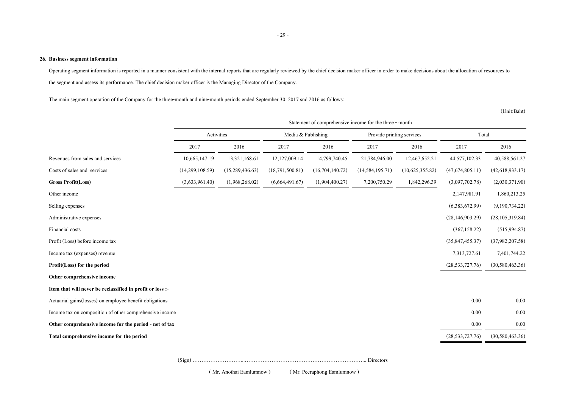#### **26. Business segment information**

Operating segment information is reported in a manner consistent with the internal reports that are regularly reviewed by the chief decision maker officer in order to make decisions about the allocation of resources to the segment and assess its performance. The chief decision maker officer is the Managing Director of the Company.

The main segment operation of the Company for the three-month and nine-month periods ended September 30. 2017 snd 2016 as follows:

(Unit:Baht)

|                                                           | Statement of comprehensive income for the three - month |                 |                    |                 |                           |                 |                    |                    |
|-----------------------------------------------------------|---------------------------------------------------------|-----------------|--------------------|-----------------|---------------------------|-----------------|--------------------|--------------------|
|                                                           | Activities                                              |                 | Media & Publishing |                 | Provide printing services |                 | Total              |                    |
|                                                           | 2017                                                    | 2016            | 2017               | 2016            | 2017                      | 2016            | 2017               | 2016               |
| Revenues from sales and services                          | 10,665,147.19                                           | 13,321,168.61   | 12,127,009.14      | 14,799,740.45   | 21,784,946.00             | 12,467,652.21   | 44,577,102.33      | 40,588,561.27      |
| Costs of sales and services                               | (14,299,108.59)                                         | (15,289,436.63) | (18,791,500.81)    | (16,704,140.72) | (14, 584, 195.71)         | (10,625,355.82) | (47,674,805,11)    | (42,618,933,17)    |
| <b>Gross Profit(Loss)</b>                                 | (3,633,961.40)                                          | (1,968,268,02)  | (6,664,491.67)     | (1,904,400.27)  | 7,200,750.29              | 1,842,296.39    | (3,097,702.78)     | (2,030,371.90)     |
| Other income                                              |                                                         |                 |                    |                 |                           |                 | 2,147,981.91       | 1,860,213.25       |
| Selling expenses                                          |                                                         |                 |                    |                 |                           |                 | (6,383,672.99)     | (9,190,734.22)     |
| Administrative expenses                                   |                                                         |                 |                    |                 |                           |                 | (28, 146, 903, 29) | (28, 105, 319.84)  |
| Financial costs                                           |                                                         |                 |                    |                 |                           |                 | (367, 158.22)      | (515,994.87)       |
| Profit (Loss) before income tax                           |                                                         |                 |                    |                 |                           |                 | (35, 847, 455.37)  | (37,982,207.58)    |
| Income tax (expenses) revenue                             |                                                         |                 |                    |                 |                           |                 | 7,313,727.61       | 7,401,744.22       |
| Profit(Loss) for the period                               |                                                         |                 |                    |                 |                           |                 | (28, 533, 727.76)  | (30, 580, 463.36)  |
| Other comprehensive income                                |                                                         |                 |                    |                 |                           |                 |                    |                    |
| Item that will never be reclassified in profit or loss :- |                                                         |                 |                    |                 |                           |                 |                    |                    |
| Actuarial gains(losses) on employee benefit obligations   |                                                         |                 |                    |                 |                           |                 | 0.00               | 0.00               |
| Income tax on composition of other comprehensive income   |                                                         |                 |                    |                 |                           |                 | 0.00               | 0.00               |
| Other comprehensive income for the period - net of tax    |                                                         |                 |                    |                 |                           |                 | 0.00               | 0.00               |
| Total comprehensive income for the period                 |                                                         |                 |                    |                 |                           |                 | (28, 533, 727.76)  | (30, 580, 463, 36) |
|                                                           |                                                         |                 |                    |                 |                           |                 |                    |                    |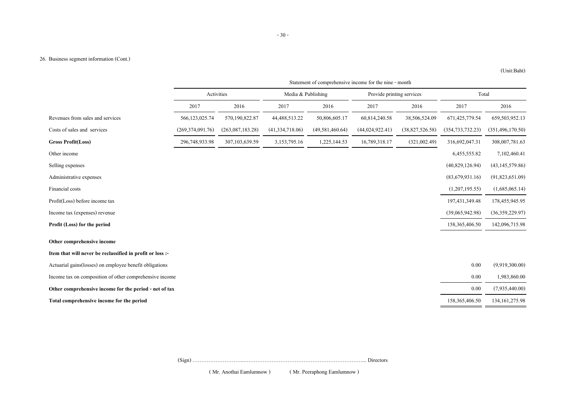#### 26. Business segment information (Cont.)

|                                                           | Statement of comprehensive income for the nine - month |                  |                      |                    |                           |                 |                    |                    |
|-----------------------------------------------------------|--------------------------------------------------------|------------------|----------------------|--------------------|---------------------------|-----------------|--------------------|--------------------|
|                                                           | Activities                                             |                  | Media $&$ Publishing |                    | Provide printing services |                 | Total              |                    |
|                                                           | 2017                                                   | 2016             | 2017                 | 2016               | 2017                      | 2016            | 2017               | 2016               |
| Revenues from sales and services                          | 566,123,025.74                                         | 570,190,822.87   | 44,488,513.22        | 50,806,605.17      | 60,814,240.58             | 38,506,524.09   | 671,425,779.54     | 659,503,952.13     |
| Costs of sales and services                               | (269, 374, 091, 76)                                    | (263,087,183.28) | (41,334,718.06)      | (49, 581, 460, 64) | (44, 024, 922, 41)        | (38,827,526.58) | (354, 733, 732.23) | (351, 496, 170.50) |
| <b>Gross Profit(Loss)</b>                                 | 296,748,933.98                                         | 307,103,639.59   | 3,153,795.16         | 1,225,144.53       | 16,789,318.17             | (321,002.49)    | 316,692,047.31     | 308,007,781.63     |
| Other income                                              |                                                        |                  |                      |                    |                           |                 | 6,455,555.82       | 7,102,460.41       |
| Selling expenses                                          |                                                        |                  |                      |                    |                           |                 | (40,829,126.94)    | (43, 145, 579.86)  |
| Administrative expenses                                   |                                                        |                  |                      |                    |                           |                 | (83,679,931.16)    | (91,823,651.09)    |
| Financial costs                                           |                                                        |                  |                      |                    |                           |                 | (1,207,195.55)     | (1,685,065.14)     |
| Profit(Loss) before income tax                            |                                                        |                  |                      |                    |                           |                 | 197,431,349.48     | 178,455,945.95     |
| Income tax (expenses) revenue                             |                                                        |                  |                      |                    |                           |                 | (39,065,942.98)    | (36,359,229.97)    |
| Profit (Loss) for the period                              |                                                        |                  |                      |                    |                           |                 | 158, 365, 406. 50  | 142,096,715.98     |
| Other comprehensive income                                |                                                        |                  |                      |                    |                           |                 |                    |                    |
| Item that will never be reclassified in profit or loss :- |                                                        |                  |                      |                    |                           |                 |                    |                    |
| Actuarial gains(losses) on employee benefit obligations   |                                                        |                  |                      |                    |                           |                 | 0.00               | (9,919,300.00)     |
| Income tax on composition of other comprehensive income   |                                                        |                  |                      |                    |                           |                 | 0.00               | 1,983,860.00       |
| Other comprehensive income for the period - net of tax    |                                                        |                  |                      |                    |                           |                 | 0.00               | (7,935,440.00)     |
| Total comprehensive income for the period                 |                                                        |                  |                      |                    |                           |                 | 158,365,406.50     | 134, 161, 275. 98  |